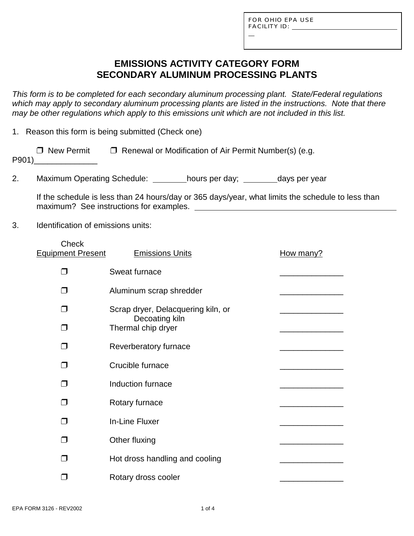L

## **EMISSIONS ACTIVITY CATEGORY FORM SECONDARY ALUMINUM PROCESSING PLANTS**

*This form is to be completed for each secondary aluminum processing plant. State/Federal regulations which may apply to secondary aluminum processing plants are listed in the instructions. Note that there may be other regulations which apply to this emissions unit which are not included in this list.*

1. Reason this form is being submitted (Check one)

| $\Box$ New Permit | $\Box$ Renewal or Modification of Air Permit Number(s) (e.g. |
|-------------------|--------------------------------------------------------------|
| P901)             |                                                              |

2. Maximum Operating Schedule: hours per day; days per year

If the schedule is less than 24 hours/day or 365 days/year, what limits the schedule to less than maximum? See instructions for examples.

3. Identification of emissions units:

| <b>Check</b><br><b>Equipment Present</b> | <b>Emissions Units</b>               | How many? |
|------------------------------------------|--------------------------------------|-----------|
| □                                        | Sweat furnace                        |           |
| $\Box$                                   | Aluminum scrap shredder              |           |
| n l                                      | Scrap dryer, Delacquering kiln, or   |           |
| l.                                       | Decoating kiln<br>Thermal chip dryer |           |
| n.                                       | Reverberatory furnace                |           |
| П                                        | Crucible furnace                     |           |
| J                                        | Induction furnace                    |           |
| $\Box$                                   | Rotary furnace                       |           |
| $\Box$                                   | <b>In-Line Fluxer</b>                |           |
| J.                                       | Other fluxing                        |           |
| $\mathcal{L}$                            | Hot dross handling and cooling       |           |
|                                          | Rotary dross cooler                  |           |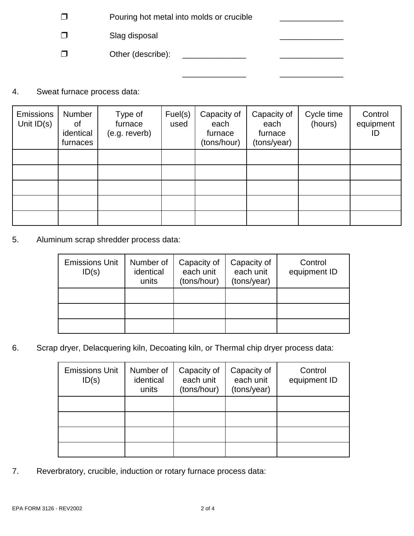- $\Box$  Pouring hot metal into molds or crucible
- $\square$  Slag disposal

" Other (describe): \_\_\_\_\_\_\_\_\_\_\_\_\_\_ \_\_\_\_\_\_\_\_\_\_\_\_\_\_

4. Sweat furnace process data:

| <b>Emissions</b><br>Unit $ID(s)$ | Number<br>οf<br>identical<br>furnaces | Type of<br>furnace<br>(e.g. reverb) | Fuel(s)<br>used | Capacity of<br>each<br>furnace<br>(tons/hour) | Capacity of<br>each<br>furnace<br>(tons/year) | Cycle time<br>(hours) | Control<br>equipment<br>ID |
|----------------------------------|---------------------------------------|-------------------------------------|-----------------|-----------------------------------------------|-----------------------------------------------|-----------------------|----------------------------|
|                                  |                                       |                                     |                 |                                               |                                               |                       |                            |
|                                  |                                       |                                     |                 |                                               |                                               |                       |                            |
|                                  |                                       |                                     |                 |                                               |                                               |                       |                            |
|                                  |                                       |                                     |                 |                                               |                                               |                       |                            |
|                                  |                                       |                                     |                 |                                               |                                               |                       |                            |

 $\overline{\phantom{a}}$  , where  $\overline{\phantom{a}}$  , where  $\overline{\phantom{a}}$  ,  $\overline{\phantom{a}}$  ,  $\overline{\phantom{a}}$  ,  $\overline{\phantom{a}}$  ,  $\overline{\phantom{a}}$  ,  $\overline{\phantom{a}}$  ,  $\overline{\phantom{a}}$  ,  $\overline{\phantom{a}}$  ,  $\overline{\phantom{a}}$  ,  $\overline{\phantom{a}}$  ,  $\overline{\phantom{a}}$  ,  $\overline{\phantom{a}}$  ,  $\overline{\phantom{a}}$  ,

5. Aluminum scrap shredder process data:

| <b>Emissions Unit</b><br>ID(s) | Number of<br>identical<br>units | Capacity of<br>each unit<br>(tons/hour) | Capacity of<br>each unit<br>(tons/year) | Control<br>equipment ID |
|--------------------------------|---------------------------------|-----------------------------------------|-----------------------------------------|-------------------------|
|                                |                                 |                                         |                                         |                         |
|                                |                                 |                                         |                                         |                         |
|                                |                                 |                                         |                                         |                         |

6. Scrap dryer, Delacquering kiln, Decoating kiln, or Thermal chip dryer process data:

| <b>Emissions Unit</b><br>ID(s) | Number of<br>identical<br>units | Capacity of<br>each unit<br>(tons/hour) | Capacity of<br>each unit<br>(tons/year) | Control<br>equipment ID |
|--------------------------------|---------------------------------|-----------------------------------------|-----------------------------------------|-------------------------|
|                                |                                 |                                         |                                         |                         |
|                                |                                 |                                         |                                         |                         |
|                                |                                 |                                         |                                         |                         |
|                                |                                 |                                         |                                         |                         |

7. Reverbratory, crucible, induction or rotary furnace process data: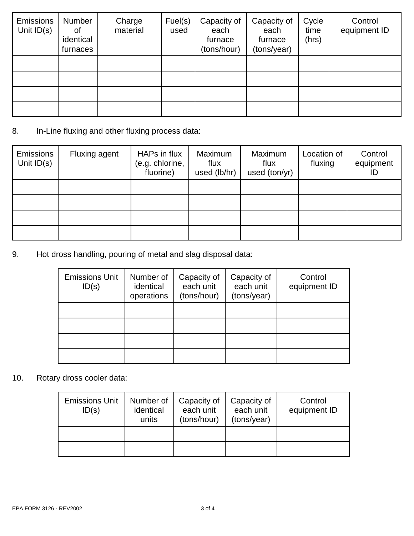| <b>Emissions</b><br>Unit $ID(s)$ | Number<br>οf<br>identical<br>furnaces | Charge<br>material | Fuel(s)<br>used | Capacity of<br>each<br>furnace<br>(tons/hour) | Capacity of<br>each<br>furnace<br>(tons/year) | Cycle<br>time<br>(hrs) | Control<br>equipment ID |
|----------------------------------|---------------------------------------|--------------------|-----------------|-----------------------------------------------|-----------------------------------------------|------------------------|-------------------------|
|                                  |                                       |                    |                 |                                               |                                               |                        |                         |
|                                  |                                       |                    |                 |                                               |                                               |                        |                         |
|                                  |                                       |                    |                 |                                               |                                               |                        |                         |
|                                  |                                       |                    |                 |                                               |                                               |                        |                         |

### 8. In-Line fluxing and other fluxing process data:

| Emissions<br>Unit $ID(s)$ | <b>Fluxing agent</b> | HAPs in flux<br>(e.g. chlorine,<br>fluorine) | Maximum<br>flux<br>used (lb/hr) | Maximum<br>flux<br>used (ton/yr) | Location of<br>fluxing | Control<br>equipment<br>ID |
|---------------------------|----------------------|----------------------------------------------|---------------------------------|----------------------------------|------------------------|----------------------------|
|                           |                      |                                              |                                 |                                  |                        |                            |
|                           |                      |                                              |                                 |                                  |                        |                            |
|                           |                      |                                              |                                 |                                  |                        |                            |
|                           |                      |                                              |                                 |                                  |                        |                            |

9. Hot dross handling, pouring of metal and slag disposal data:

| <b>Emissions Unit</b><br>ID(s) | Number of<br>identical<br>operations | Capacity of<br>each unit<br>(tons/hour) | Capacity of<br>each unit<br>(tons/year) | Control<br>equipment ID |
|--------------------------------|--------------------------------------|-----------------------------------------|-----------------------------------------|-------------------------|
|                                |                                      |                                         |                                         |                         |
|                                |                                      |                                         |                                         |                         |
|                                |                                      |                                         |                                         |                         |
|                                |                                      |                                         |                                         |                         |

## 10. Rotary dross cooler data:

| <b>Emissions Unit</b><br>ID(s) | Number of<br>identical<br>units | Capacity of<br>each unit<br>(tons/hour) | Capacity of<br>each unit<br>(tons/year) | Control<br>equipment ID |
|--------------------------------|---------------------------------|-----------------------------------------|-----------------------------------------|-------------------------|
|                                |                                 |                                         |                                         |                         |
|                                |                                 |                                         |                                         |                         |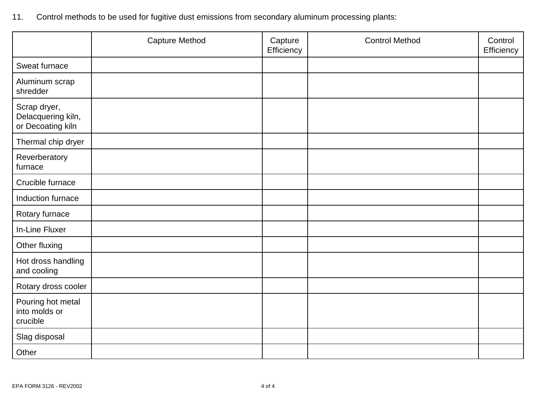| 11. Control methods to be used for fugitive dust emissions from secondary aluminum processing plants: |  |  |
|-------------------------------------------------------------------------------------------------------|--|--|
|                                                                                                       |  |  |

|                                                         | <b>Capture Method</b> | Capture<br>Efficiency | <b>Control Method</b> | Control<br>Efficiency |
|---------------------------------------------------------|-----------------------|-----------------------|-----------------------|-----------------------|
| Sweat furnace                                           |                       |                       |                       |                       |
| Aluminum scrap<br>shredder                              |                       |                       |                       |                       |
| Scrap dryer,<br>Delacquering kiln,<br>or Decoating kiln |                       |                       |                       |                       |
| Thermal chip dryer                                      |                       |                       |                       |                       |
| Reverberatory<br>furnace                                |                       |                       |                       |                       |
| Crucible furnace                                        |                       |                       |                       |                       |
| Induction furnace                                       |                       |                       |                       |                       |
| Rotary furnace                                          |                       |                       |                       |                       |
| In-Line Fluxer                                          |                       |                       |                       |                       |
| Other fluxing                                           |                       |                       |                       |                       |
| Hot dross handling<br>and cooling                       |                       |                       |                       |                       |
| Rotary dross cooler                                     |                       |                       |                       |                       |
| Pouring hot metal<br>into molds or<br>crucible          |                       |                       |                       |                       |
| Slag disposal                                           |                       |                       |                       |                       |
| Other                                                   |                       |                       |                       |                       |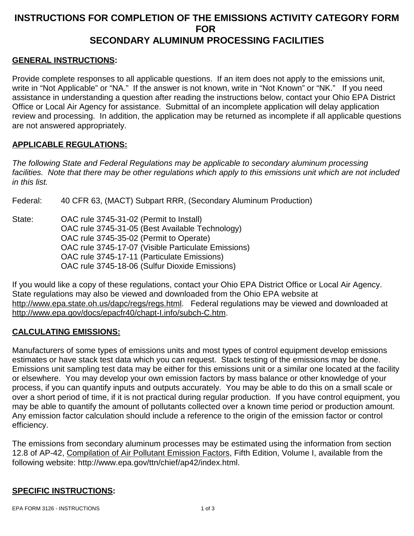# **INSTRUCTIONS FOR COMPLETION OF THE EMISSIONS ACTIVITY CATEGORY FORM FOR SECONDARY ALUMINUM PROCESSING FACILITIES**

#### **GENERAL INSTRUCTIONS:**

Provide complete responses to all applicable questions. If an item does not apply to the emissions unit, write in "Not Applicable" or "NA." If the answer is not known, write in "Not Known" or "NK." If you need assistance in understanding a question after reading the instructions below, contact your Ohio EPA District Office or Local Air Agency for assistance. Submittal of an incomplete application will delay application review and processing. In addition, the application may be returned as incomplete if all applicable questions are not answered appropriately.

#### **APPLICABLE REGULATIONS:**

*The following State and Federal Regulations may be applicable to secondary aluminum processing facilities. Note that there may be other regulations which apply to this emissions unit which are not included in this list.*

Federal: 40 CFR 63, (MACT) Subpart RRR, (Secondary Aluminum Production)

State: OAC rule 3745-31-02 (Permit to Install) OAC rule 3745-31-05 (Best Available Technology) OAC rule 3745-35-02 (Permit to Operate) OAC rule 3745-17-07 (Visible Particulate Emissions) OAC rule 3745-17-11 (Particulate Emissions) OAC rule 3745-18-06 (Sulfur Dioxide Emissions)

If you would like a copy of these regulations, contact your Ohio EPA District Office or Local Air Agency. State regulations may also be viewed and downloaded from the Ohio EPA website at http://www.epa.state.oh.us/dapc/regs/regs.html. Federal regulations may be viewed and downloaded at http://www.epa.gov/docs/epacfr40/chapt-I.info/subch-C.htm.

#### **CALCULATING EMISSIONS:**

Manufacturers of some types of emissions units and most types of control equipment develop emissions estimates or have stack test data which you can request. Stack testing of the emissions may be done. Emissions unit sampling test data may be either for this emissions unit or a similar one located at the facility or elsewhere. You may develop your own emission factors by mass balance or other knowledge of your process, if you can quantify inputs and outputs accurately. You may be able to do this on a small scale or over a short period of time, if it is not practical during regular production. If you have control equipment, you may be able to quantify the amount of pollutants collected over a known time period or production amount. Any emission factor calculation should include a reference to the origin of the emission factor or control efficiency.

The emissions from secondary aluminum processes may be estimated using the information from section 12.8 of AP-42, Compilation of Air Pollutant Emission Factors, Fifth Edition, Volume I, available from the following website: http://www.epa.gov/ttn/chief/ap42/index.html.

#### **SPECIFIC INSTRUCTIONS:**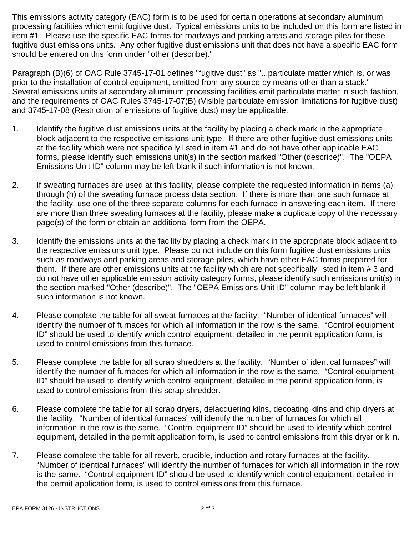This emissions activity category (EAC) form is to be used for certain operations at secondary aluminum processing facilities which emit fugitive dust. Typical emissions units to be included on this form are listed in item #1. Please use the specific EAC forms for roadways and parking areas and storage piles for these fugitive dust emissions units. Any other fugitive dust emissions unit that does not have a specific EAC form should be entered on this form under "other (describe)."

Paragraph (B)(6) of OAC Rule 3745-17-01 defines "fugitive dust" as "...particulate matter which is, or was prior to the installation of control equipment, emitted from any source by means other than a stack." Several emissions units at secondary aluminum processing facilities emit particulate matter in such fashion, and the requirements of OAC Rules 3745-17-07(B) (Visible particulate emission limitations for fugitive dust) and 3745-17-08 (Restriction of emissions of fugitive dust) may be applicable.

- 1. Identify the fugitive dust emissions units at the facility by placing a check mark in the appropriate block adjacent to the respective emissions unit type. If there are other fugitive dust emissions units at the facility which were not specifically listed in item #1 and do not have other applicable EAC forms, please identify such emissions unit(s) in the section marked "Other (describe)". The "OEPA Emissions Unit ID" column may be left blank if such information is not known.
- 2. If sweating furnaces are used at this facility, please complete the requested information in items (a) through (h) of the sweating furnace proess data section. If there is more than one such furnace at the facility, use one of the three separate columns for each furnace in answering each item. If there are more than three sweating furnaces at the facility, please make a duplicate copy of the necessary page(s) of the form or obtain an additional form from the OEPA.
- 3. Identify the emissions units at the facility by placing a check mark in the appropriate block adjacent to the respective emissions unit type. Please do not include on this form fugitive dust emissions units such as roadways and parking areas and storage piles, which have other EAC forms prepared for them. If there are other emissions units at the facility which are not specifically listed in item # 3 and do not have other applicable emission activity category forms, please identify such emissions unit(s) in the section marked "Other (describe)". The "OEPA Emissions Unit ID" column may be left blank if such information is not known.
- 4. Please complete the table for all sweat furnaces at the facility. "Number of identical furnaces" will identify the number of furnaces for which all information in the row is the same. "Control equipment ID" should be used to identify which control equipment, detailed in the permit application form, is used to control emissions from this furnace.
- 5. Please complete the table for all scrap shredders at the facility. "Number of identical furnaces" will identify the number of furnaces for which all information in the row is the same. "Control equipment ID" should be used to identify which control equipment, detailed in the permit application form, is used to control emissions from this scrap shredder.
- 6. Please complete the table for all scrap dryers, delacquering kilns, decoating kilns and chip dryers at the facility. "Number of identical furnaces" will identify the number of furnaces for which all information in the row is the same. "Control equipment ID" should be used to identify which control equipment, detailed in the permit application form, is used to control emissions from this dryer or kiln.
- 7. Please complete the table for all reverb, crucible, induction and rotary furnaces at the facility. "Number of identical furnaces" will identify the number of furnaces for which all information in the row is the same. "Control equipment ID" should be used to identify which control equipment, detailed in the permit application form, is used to control emissions from this furnace.